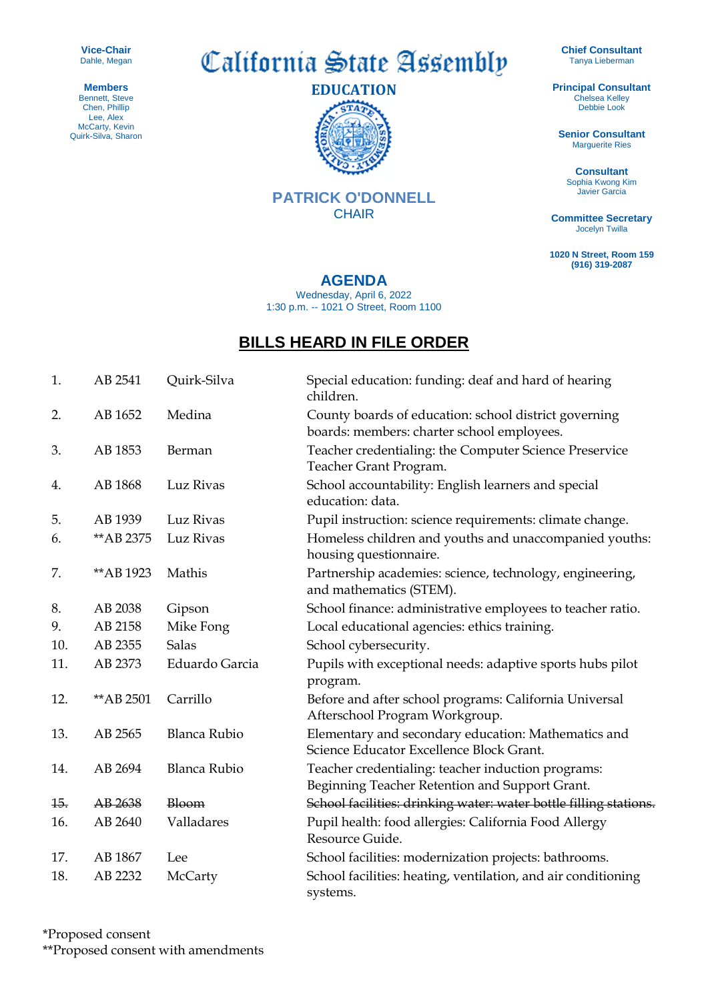**Vice-Chair** Dahle, Megan

**Members** Bennett, Steve Chen, Phillip Lee, Alex McCarty, Kevin Quirk-Silva, Sharon California State Assembly



**PATRICK O'DONNELL CHAIR** 

**Chief Consultant** Tanya Lieberman

**Principal Consultant** Chelsea Kelley Debbie Look

**Senior Consultant** Marguerite Ries

**Consultant** Sophia Kwong Kim Javier Garcia

**Committee Secretary** Jocelyn Twilla

**1020 N Street, Room 159 (916) 319-2087**

**AGENDA**

Wednesday, April 6, 2022 1:30 p.m. -- 1021 O Street, Room 1100

## **BILLS HEARD IN FILE ORDER**

| 1.  | AB 2541    | Quirk-Silva         | Special education: funding: deaf and hard of hearing<br>children.                                    |
|-----|------------|---------------------|------------------------------------------------------------------------------------------------------|
| 2.  | AB 1652    | Medina              | County boards of education: school district governing<br>boards: members: charter school employees.  |
| 3.  | AB 1853    | Berman              | Teacher credentialing: the Computer Science Preservice<br>Teacher Grant Program.                     |
| 4.  | AB 1868    | Luz Rivas           | School accountability: English learners and special<br>education: data.                              |
| 5.  | AB 1939    | Luz Rivas           | Pupil instruction: science requirements: climate change.                                             |
| 6.  | ** AB 2375 | Luz Rivas           | Homeless children and youths and unaccompanied youths:<br>housing questionnaire.                     |
| 7.  | ** AB 1923 | Mathis              | Partnership academies: science, technology, engineering,<br>and mathematics (STEM).                  |
| 8.  | AB 2038    | Gipson              | School finance: administrative employees to teacher ratio.                                           |
| 9.  | AB 2158    | Mike Fong           | Local educational agencies: ethics training.                                                         |
| 10. | AB 2355    | <b>Salas</b>        | School cybersecurity.                                                                                |
| 11. | AB 2373    | Eduardo Garcia      | Pupils with exceptional needs: adaptive sports hubs pilot<br>program.                                |
| 12. | ** AB 2501 | Carrillo            | Before and after school programs: California Universal<br>Afterschool Program Workgroup.             |
| 13. | AB 2565    | <b>Blanca Rubio</b> | Elementary and secondary education: Mathematics and<br>Science Educator Excellence Block Grant.      |
| 14. | AB 2694    | <b>Blanca Rubio</b> | Teacher credentialing: teacher induction programs:<br>Beginning Teacher Retention and Support Grant. |
| 15. | AB 2638    | Bloom               | School facilities: drinking water: water bottle filling stations.                                    |
| 16. | AB 2640    | Valladares          | Pupil health: food allergies: California Food Allergy<br>Resource Guide.                             |
| 17. | AB 1867    | Lee                 | School facilities: modernization projects: bathrooms.                                                |
| 18. | AB 2232    | McCarty             | School facilities: heating, ventilation, and air conditioning<br>systems.                            |